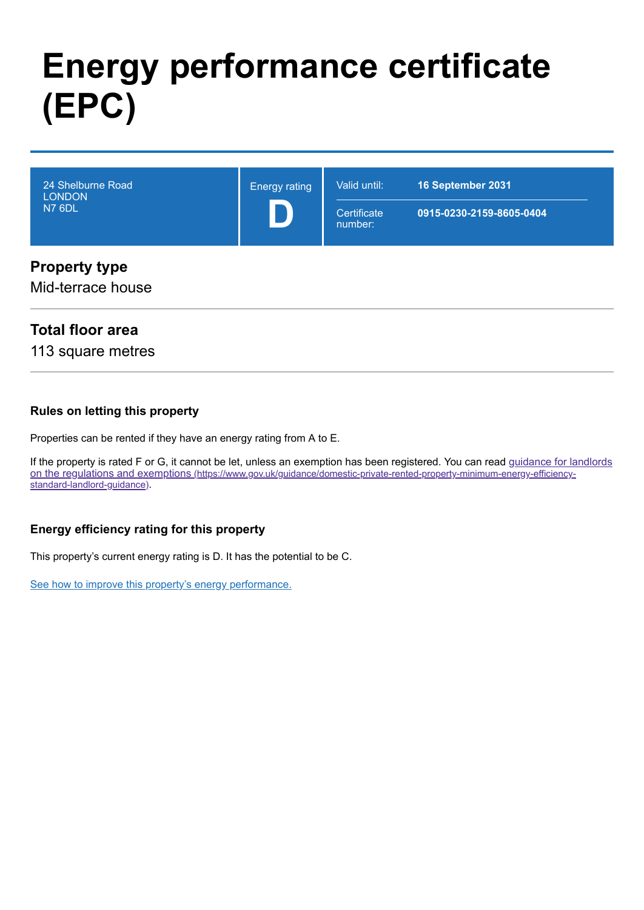# **Energy performance certificate (EPC)**

| 24 Shelburne Road<br><b>LONDON</b><br><b>N7 6DL</b> | <b>Energy rating</b> | Valid until:<br>Certificate<br>number: | 16 September 2031<br>0915-0230-2159-8605-0404 |
|-----------------------------------------------------|----------------------|----------------------------------------|-----------------------------------------------|
| <b>Property type</b>                                |                      |                                        |                                               |

Mid-terrace house

### **Total floor area**

113 square metres

#### **Rules on letting this property**

Properties can be rented if they have an energy rating from A to E.

[If the property is rated F or G, it cannot be let, unless an exemption has been registered. You can read guidance for landlords](https://www.gov.uk/guidance/domestic-private-rented-property-minimum-energy-efficiency-standard-landlord-guidance) on the regulations and exemptions (https://www.gov.uk/guidance/domestic-private-rented-property-minimum-energy-efficiencystandard-landlord-guidance).

#### **Energy efficiency rating for this property**

This property's current energy rating is D. It has the potential to be C.

[See how to improve this property's energy performance.](#page-3-0)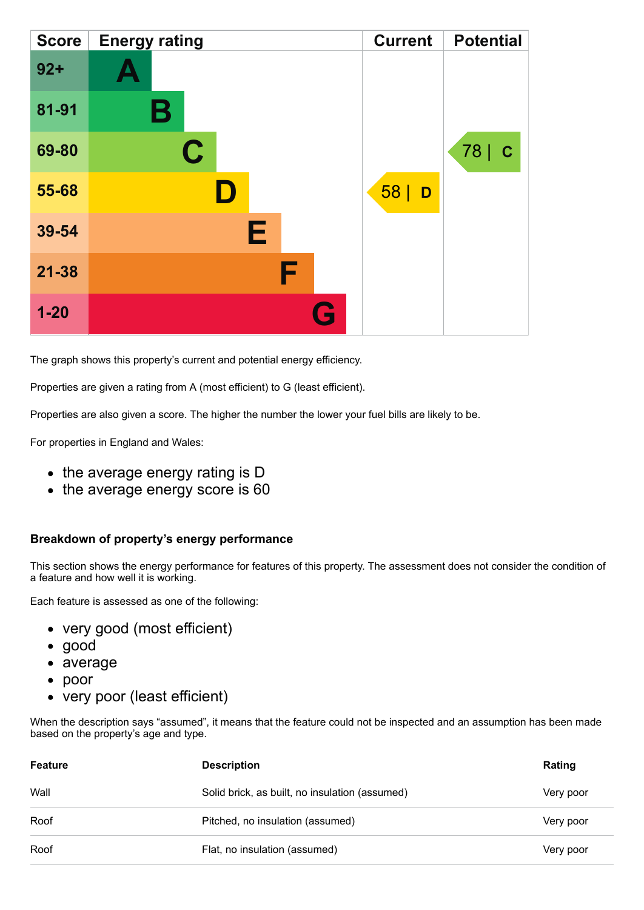| <b>Score</b> | <b>Energy rating</b> | <b>Current</b> | <b>Potential</b>    |
|--------------|----------------------|----------------|---------------------|
| $92 +$       |                      |                |                     |
| 81-91        | Β                    |                |                     |
| 69-80        | $\mathbf C$          |                | 78  <br>$\mathbf C$ |
| 55-68        |                      | 58 D           |                     |
| 39-54        | Е                    |                |                     |
| $21 - 38$    | F                    |                |                     |
| $1 - 20$     | Q                    |                |                     |

The graph shows this property's current and potential energy efficiency.

Properties are given a rating from A (most efficient) to G (least efficient).

Properties are also given a score. The higher the number the lower your fuel bills are likely to be.

For properties in England and Wales:

- the average energy rating is D
- the average energy score is 60

#### **Breakdown of property's energy performance**

This section shows the energy performance for features of this property. The assessment does not consider the condition of a feature and how well it is working.

Each feature is assessed as one of the following:

- very good (most efficient)
- good
- average
- poor
- very poor (least efficient)

When the description says "assumed", it means that the feature could not be inspected and an assumption has been made based on the property's age and type.

| Feature | <b>Description</b>                             | Rating    |
|---------|------------------------------------------------|-----------|
| Wall    | Solid brick, as built, no insulation (assumed) | Very poor |
| Roof    | Pitched, no insulation (assumed)               | Very poor |
| Roof    | Flat, no insulation (assumed)                  | Very poor |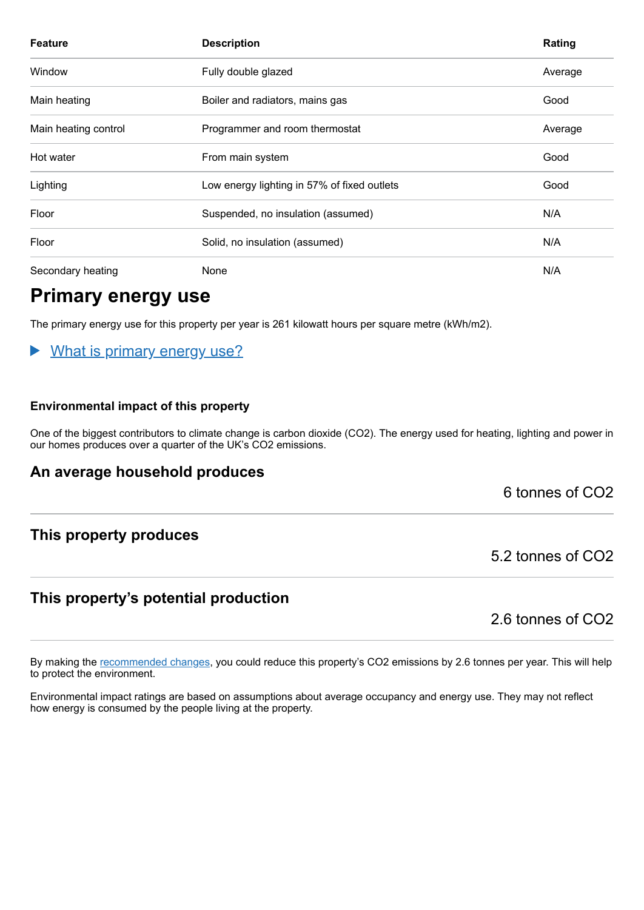| <b>Feature</b>       | <b>Description</b>                          | Rating  |
|----------------------|---------------------------------------------|---------|
| Window               | Fully double glazed                         | Average |
| Main heating         | Boiler and radiators, mains gas             | Good    |
| Main heating control | Programmer and room thermostat              | Average |
| Hot water            | From main system                            | Good    |
| Lighting             | Low energy lighting in 57% of fixed outlets | Good    |
| Floor                | Suspended, no insulation (assumed)          | N/A     |
| Floor                | Solid, no insulation (assumed)              | N/A     |
| Secondary heating    | None                                        | N/A     |

### **Primary energy use**

The primary energy use for this property per year is 261 kilowatt hours per square metre (kWh/m2).

#### What is primary energy use?  $\blacktriangleright$

#### **Environmental impact of this property**

One of the biggest contributors to climate change is carbon dioxide (CO2). The energy used for heating, lighting and power in our homes produces over a quarter of the UK's CO2 emissions.

### **An average household produces**

6 tonnes of CO2

### **This property produces**

### **This property's potential production**

2.6 tonnes of CO2

5.2 tonnes of CO2

By making the [recommended changes,](#page-3-0) you could reduce this property's CO2 emissions by 2.6 tonnes per year. This will help to protect the environment.

Environmental impact ratings are based on assumptions about average occupancy and energy use. They may not reflect how energy is consumed by the people living at the property.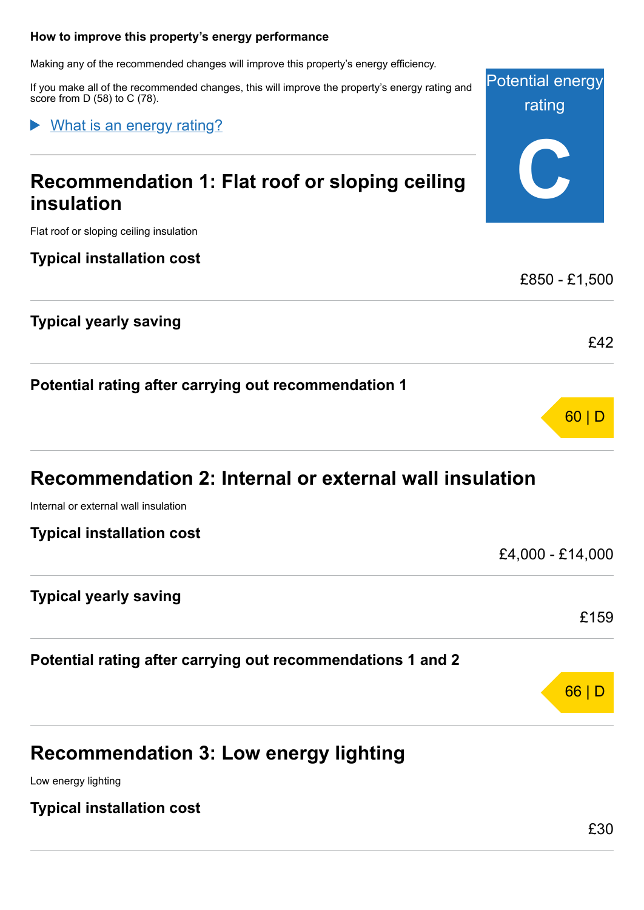#### <span id="page-3-0"></span>**How to improve this property's energy performance**

Making any of the recommended changes will improve this property's energy efficiency.

If you make all of the recommended changes, this will improve the property's energy rating and score from D (58) to C (78).

What is an energy rating?

### **Recommendation 1: Flat roof or sloping ceiling insulation**

Flat roof or sloping ceiling insulation

#### **Typical installation cost**

### **Typical yearly saving**

**Potential rating after carrying out recommendation 1**

### **Recommendation 2: Internal or external wall insulation**

Internal or external wall insulation

| <b>Typical installation cost</b> |  |
|----------------------------------|--|
|----------------------------------|--|

### **Typical yearly saving**

**Potential rating after carrying out recommendations 1 and 2**

### **Recommendation 3: Low energy lighting**

Low energy lighting

**Typical installation cost**

£159

66 | D

Potential energy

rating

**C**

£850 - £1,500

£42

60 | D

£4,000 - £14,000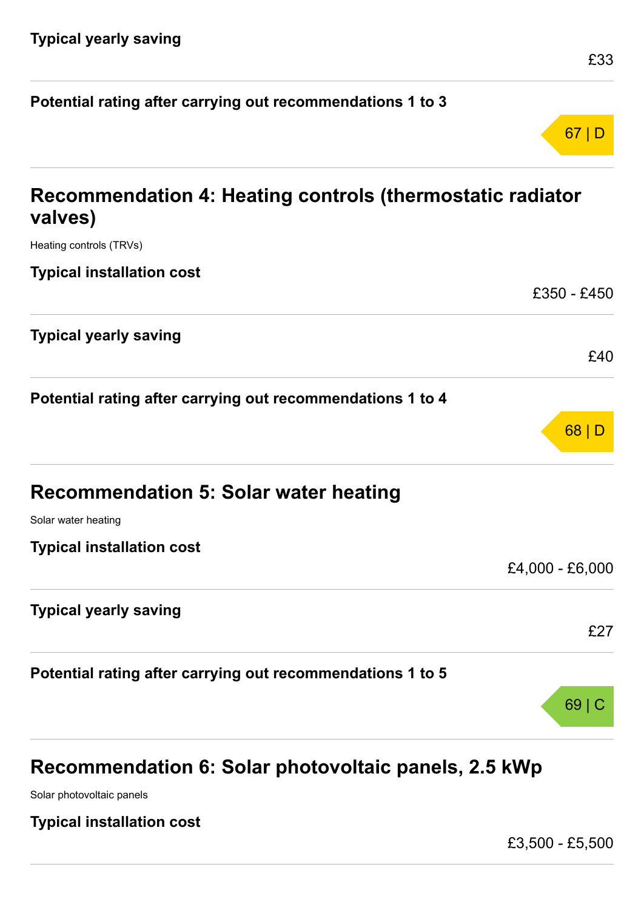| Potential rating after carrying out recommendations 1 to 3           |                 |
|----------------------------------------------------------------------|-----------------|
|                                                                      | 67 D            |
| Recommendation 4: Heating controls (thermostatic radiator<br>valves) |                 |
| Heating controls (TRVs)                                              |                 |
| <b>Typical installation cost</b>                                     |                 |
|                                                                      | £350 - £450     |
| <b>Typical yearly saving</b>                                         | £40             |
| Potential rating after carrying out recommendations 1 to 4           | 68 D            |
| <b>Recommendation 5: Solar water heating</b>                         |                 |
| Solar water heating                                                  |                 |
| <b>Typical installation cost</b>                                     | £4,000 - £6,000 |
| <b>Typical yearly saving</b>                                         | £27             |
| Potential rating after carrying out recommendations 1 to 5           |                 |
|                                                                      | 69 C            |

## **Recommendation 6: Solar photovoltaic panels, 2.5 kWp**

Solar photovoltaic panels

**Typical installation cost**

£3,500 - £5,500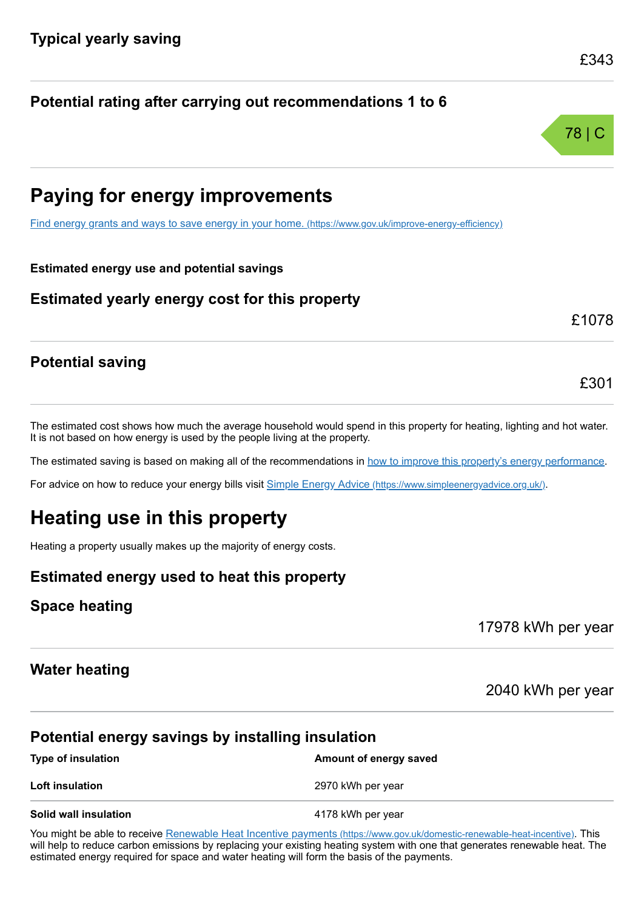78 | C

### **Potential rating after carrying out recommendations 1 to 6**

### **Paying for energy improvements**

[Find energy grants and ways to save energy in your home.](https://www.gov.uk/improve-energy-efficiency) (https://www.gov.uk/improve-energy-efficiency)

#### **Estimated energy use and potential savings**

### **Estimated yearly energy cost for this property**

#### £1078

£301

### **Potential saving**

The estimated cost shows how much the average household would spend in this property for heating, lighting and hot water. It is not based on how energy is used by the people living at the property.

The estimated saving is based on making all of the recommendations in [how to improve this property's energy performance.](#page-3-0)

For advice on how to reduce your energy bills visit Simple Energy Advice [\(https://www.simpleenergyadvice.org.uk/\)](https://www.simpleenergyadvice.org.uk/).

### **Heating use in this property**

Heating a property usually makes up the majority of energy costs.

### **Estimated energy used to heat this property**

### **Space heating**

17978 kWh per year

### **Water heating**

2040 kWh per year

### **Potential energy savings by installing insulation**

| <b>Type of insulation</b> | Amount of energy saved |
|---------------------------|------------------------|
| <b>Loft insulation</b>    | 2970 kWh per year      |
| Solid wall insulation     | 4178 kWh per year      |

You might be able to receive Renewable Heat Incentive payments [\(https://www.gov.uk/domestic-renewable-heat-incentive\)](https://www.gov.uk/domestic-renewable-heat-incentive). This will help to reduce carbon emissions by replacing your existing heating system with one that generates renewable heat. The estimated energy required for space and water heating will form the basis of the payments.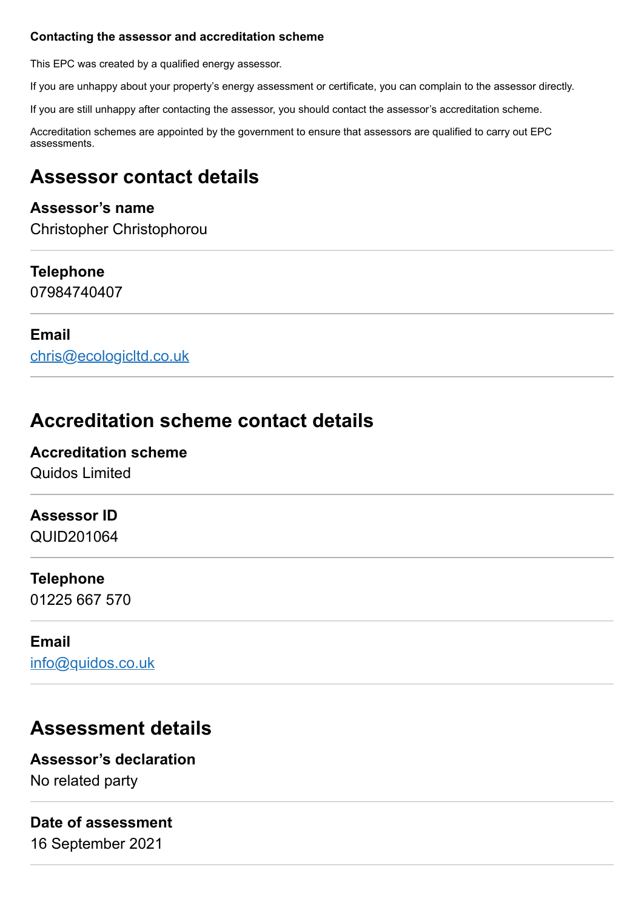#### **Contacting the assessor and accreditation scheme**

This EPC was created by a qualified energy assessor.

If you are unhappy about your property's energy assessment or certificate, you can complain to the assessor directly.

If you are still unhappy after contacting the assessor, you should contact the assessor's accreditation scheme.

Accreditation schemes are appointed by the government to ensure that assessors are qualified to carry out EPC assessments.

### **Assessor contact details**

### **Assessor's name**

Christopher Christophorou

### **Telephone**

07984740407

### **Email**

[chris@ecologicltd.co.uk](mailto:chris@ecologicltd.co.uk)

### **Accreditation scheme contact details**

### **Accreditation scheme**

Quidos Limited

### **Assessor ID**

QUID201064

### **Telephone**

01225 667 570

### **Email**

[info@quidos.co.uk](mailto:info@quidos.co.uk)

### **Assessment details**

### **Assessor's declaration**

No related party

### **Date of assessment**

16 September 2021